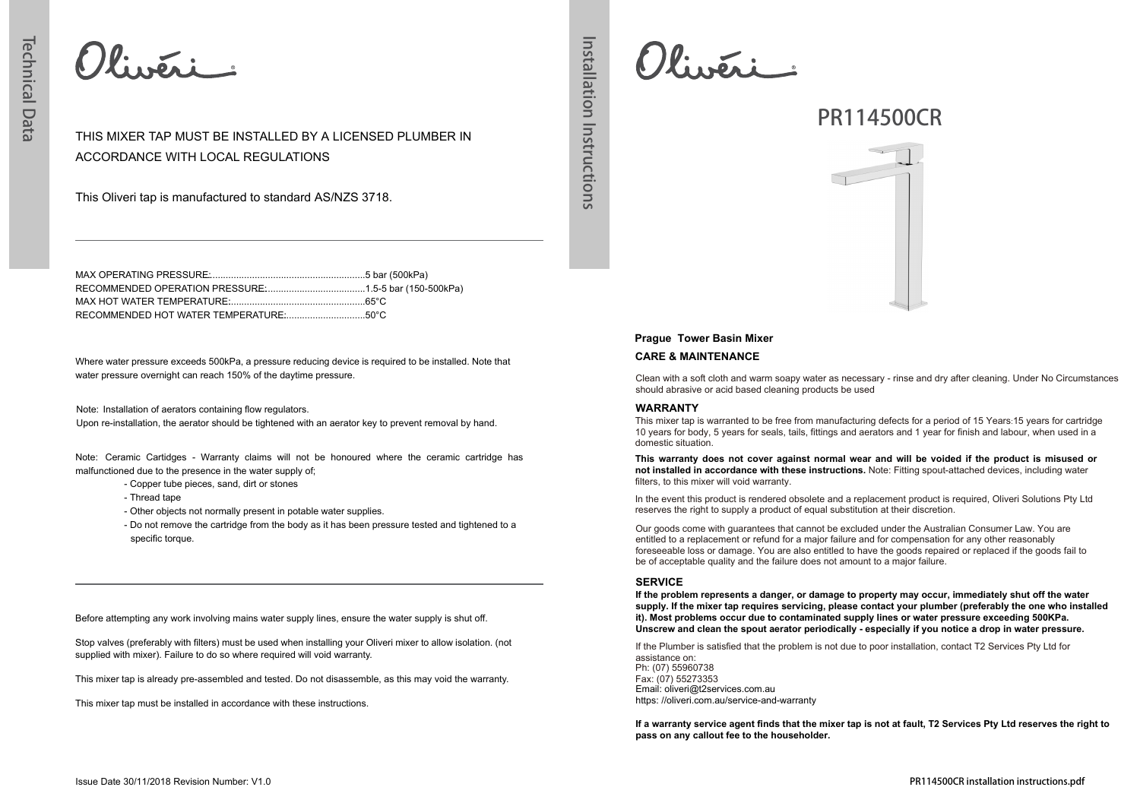Olivéri

ACCORDANCE WITH LOCAL REGULATIONS

Installation Instructions **Installation Instructions**

## MAX OPERATING PRESSURE: ..............................................................5 bar (500kPa) RECOMMENDED OPERATION PRESSURE: ..........................................1.5-5 bar (150-500kPa) MAX HOT WATER TEMPERATURE:.....................................................65°C

THIS MIXER TAP MUST BE INSTALLED BY A LICENSED PLUMBER IN

RECOMMENDED HOT WATER TEMPERATURE: ..................................50°C

This Oliveri tap is manufactured to standard AS/NZS 3718.

Where water pressure exceeds 500kPa, a pressure reducing device is required to be installed. Note that water pressure overnight can reach 150% of the daytime pressure.

Note: Installation of aerators containing flow regulators. Upon re-installation, the aerator should be tightened with an aerator key to prevent removal by hand.

Note: Ceramic Cartidges - Warranty claims will not be honoured where the ceramic cartridge has malfunctioned due to the presence in the water supply of;

- Copper tube pieces, sand, dirt or stones
- Thread tape
- Other objects not normally present in potable water supplies.
- Do not remove the cartridge from the body as it has been pressure tested and tightened to a specific torque.

Before attempting any work involving mains water supply lines, ensure the water supply is shut off.

Stop valves (preferably with filters) must be used when installing your Oliveri mixer to allow isolation. (not supplied with mixer). Failure to do so where required will void warranty.

This mixer tap is already pre-assembled and tested. Do not disassemble, as this may void the warranty.

This mixer tap must be installed in accordance with these instructions.

 $Q$ liveri

# **PR114500CR**



## **Prague Tower Basin Mixer**

## **CARE & MAINTENANCE**

Clean with a soft cloth and warm soapy water as necessary - rinse and dry after cleaning. Under No Circumstances should abrasive or acid based cleaning products be used

## **WARRANTY**

This mixer tap is warranted to be free from manufacturing defects for a period of 15 Years:15 years for cartridge 10 years for body, 5 years for seals, tails, fittings and aerators and 1 year for finish and labour, when used in a domestic situation.

**This warranty does not cover against normal wear and will be voided if the product is misused or not installed in accordance with these instructions.** Note: Fitting spout-attached devices, including water filters, to this mixer will void warranty.

In the event this product is rendered obsolete and a replacement product is required, Oliveri Solutions Pty Ltd reserves the right to supply a product of equal substitution at their discretion.

Our goods come with guarantees that cannot be excluded under the Australian Consumer Law. You are entitled to a replacement or refund for a major failure and for compensation for any other reasonably foreseeable loss or damage. You are also entitled to have the goods repaired or replaced if the goods fail to be of acceptable quality and the failure does not amount to a major failure.

### **SERVICE**

**If the problem represents a danger, or damage to property may occur, immediately shut off the water supply. If the mixer tap requires servicing, please contact your plumber (preferably the one who installed it). Most problems occur due to contaminated supply lines or water pressure exceeding 500KPa. Unscrew and clean the spout aerator periodically - especially if you notice a drop in water pressure.**

If the Plumber is satisfied that the problem is not due to poor installation, contact T2 Services Pty Ltd for assistance on: Ph: (07) 55960738 Fax: (07) 55273353 Email: oliveri@t2services.com.au https: //oliveri.com.au/service-and-warranty

**If a warranty service agent finds that the mixer tap is not at fault, T2 Services Pty Ltd reserves the right to pass on any callout fee to the householder.**